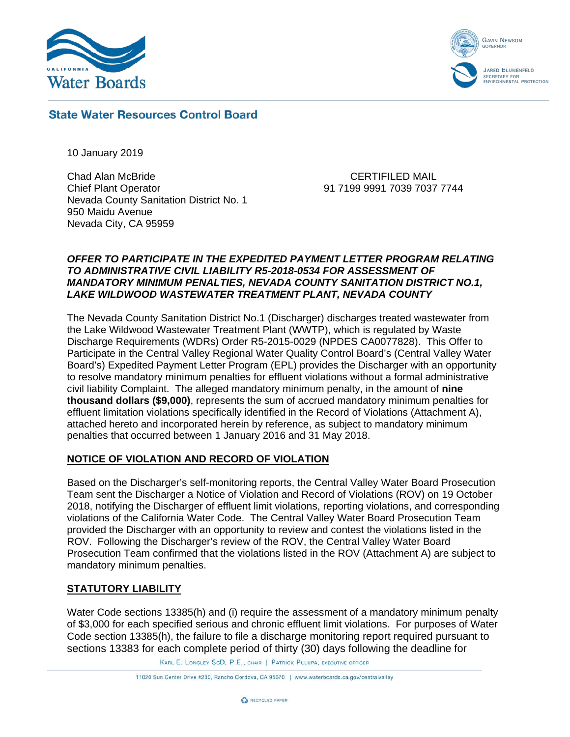



# **State Water Resources Control Board**

10 January 2019

Chad Alan McBride Chief Plant Operator Nevada County Sanitation District No. 1 950 Maidu Avenue Nevada City, CA 95959

CERTIFILED MAIL 91 7199 9991 7039 7037 7744

### *OFFER TO PARTICIPATE IN THE EXPEDITED PAYMENT LETTER PROGRAM RELATING TO ADMINISTRATIVE CIVIL LIABILITY R5-2018-0534 FOR ASSESSMENT OF MANDATORY MINIMUM PENALTIES, NEVADA COUNTY SANITATION DISTRICT NO.1, LAKE WILDWOOD WASTEWATER TREATMENT PLANT, NEVADA COUNTY*

The Nevada County Sanitation District No.1 (Discharger) discharges treated wastewater from the Lake Wildwood Wastewater Treatment Plant (WWTP), which is regulated by Waste Discharge Requirements (WDRs) Order R5-2015-0029 (NPDES CA0077828). This Offer to Participate in the Central Valley Regional Water Quality Control Board's (Central Valley Water Board's) Expedited Payment Letter Program (EPL) provides the Discharger with an opportunity to resolve mandatory minimum penalties for effluent violations without a formal administrative civil liability Complaint. The alleged mandatory minimum penalty, in the amount of **nine thousand dollars (\$9,000)**, represents the sum of accrued mandatory minimum penalties for effluent limitation violations specifically identified in the Record of Violations (Attachment A), attached hereto and incorporated herein by reference, as subject to mandatory minimum penalties that occurred between 1 January 2016 and 31 May 2018.

# **NOTICE OF VIOLATION AND RECORD OF VIOLATION**

Based on the Discharger's self-monitoring reports, the Central Valley Water Board Prosecution Team sent the Discharger a Notice of Violation and Record of Violations (ROV) on 19 October 2018, notifying the Discharger of effluent limit violations, reporting violations, and corresponding violations of the California Water Code. The Central Valley Water Board Prosecution Team provided the Discharger with an opportunity to review and contest the violations listed in the ROV. Following the Discharger's review of the ROV, the Central Valley Water Board Prosecution Team confirmed that the violations listed in the ROV (Attachment A) are subject to mandatory minimum penalties.

## **STATUTORY LIABILITY**

Water Code sections 13385(h) and (i) require the assessment of a mandatory minimum penalty of \$3,000 for each specified serious and chronic effluent limit violations. For purposes of Water Code section 13385(h), the failure to file a discharge monitoring report required pursuant to sections 13383 for each complete period of thirty (30) days following the deadline for

KARL E. LONGLEY SCD, P.E., CHAIR | PATRICK PULUPA, EXECUTIVE OFFICER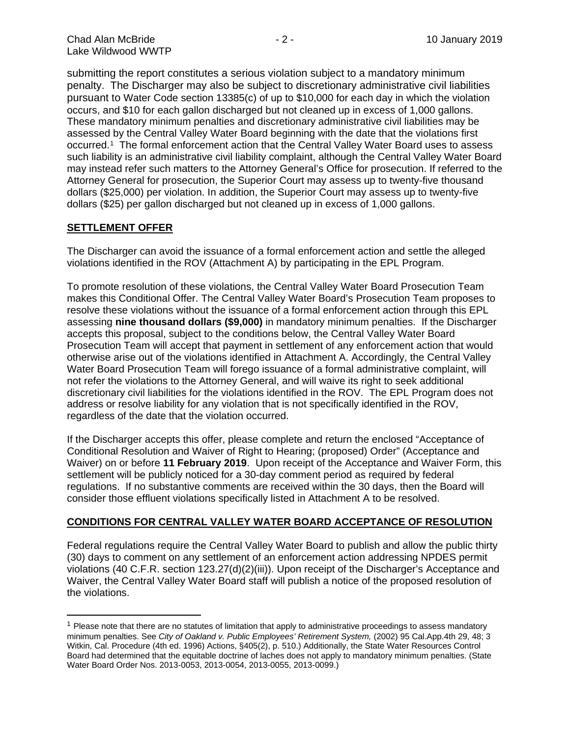submitting the report constitutes a serious violation subject to a mandatory minimum penalty. The Discharger may also be subject to discretionary administrative civil liabilities pursuant to Water Code section 13385(c) of up to \$10,000 for each day in which the violation occurs, and \$10 for each gallon discharged but not cleaned up in excess of 1,000 gallons. These mandatory minimum penalties and discretionary administrative civil liabilities may be assessed by the Central Valley Water Board beginning with the date that the violations first occurred.[1](#page-1-0) The formal enforcement action that the Central Valley Water Board uses to assess such liability is an administrative civil liability complaint, although the Central Valley Water Board may instead refer such matters to the Attorney General's Office for prosecution. If referred to the Attorney General for prosecution, the Superior Court may assess up to twenty-five thousand dollars (\$25,000) per violation. In addition, the Superior Court may assess up to twenty-five dollars (\$25) per gallon discharged but not cleaned up in excess of 1,000 gallons.

### **SETTLEMENT OFFER**

The Discharger can avoid the issuance of a formal enforcement action and settle the alleged violations identified in the ROV (Attachment A) by participating in the EPL Program.

To promote resolution of these violations, the Central Valley Water Board Prosecution Team makes this Conditional Offer. The Central Valley Water Board's Prosecution Team proposes to resolve these violations without the issuance of a formal enforcement action through this EPL assessing **nine thousand dollars (\$9,000)** in mandatory minimum penalties. If the Discharger accepts this proposal, subject to the conditions below, the Central Valley Water Board Prosecution Team will accept that payment in settlement of any enforcement action that would otherwise arise out of the violations identified in Attachment A. Accordingly, the Central Valley Water Board Prosecution Team will forego issuance of a formal administrative complaint, will not refer the violations to the Attorney General, and will waive its right to seek additional discretionary civil liabilities for the violations identified in the ROV. The EPL Program does not address or resolve liability for any violation that is not specifically identified in the ROV, regardless of the date that the violation occurred.

If the Discharger accepts this offer, please complete and return the enclosed "Acceptance of Conditional Resolution and Waiver of Right to Hearing; (proposed) Order" (Acceptance and Waiver) on or before **11 February 2019**. Upon receipt of the Acceptance and Waiver Form, this settlement will be publicly noticed for a 30-day comment period as required by federal regulations. If no substantive comments are received within the 30 days, then the Board will consider those effluent violations specifically listed in Attachment A to be resolved.

## **CONDITIONS FOR CENTRAL VALLEY WATER BOARD ACCEPTANCE OF RESOLUTION**

Federal regulations require the Central Valley Water Board to publish and allow the public thirty (30) days to comment on any settlement of an enforcement action addressing NPDES permit violations (40 C.F.R. section 123.27(d)(2)(iii)). Upon receipt of the Discharger's Acceptance and Waiver, the Central Valley Water Board staff will publish a notice of the proposed resolution of the violations.

<span id="page-1-0"></span> $1$  Please note that there are no statutes of limitation that apply to administrative proceedings to assess mandatory minimum penalties. See *City of Oakland v. Public Employees' Retirement System,* (2002) 95 Cal.App.4th 29, 48; 3 Witkin, Cal. Procedure (4th ed. 1996) Actions, §405(2), p. 510.) Additionally, the State Water Resources Control Board had determined that the equitable doctrine of laches does not apply to mandatory minimum penalties. (State Water Board Order Nos. 2013-0053, 2013-0054, 2013-0055, 2013-0099.)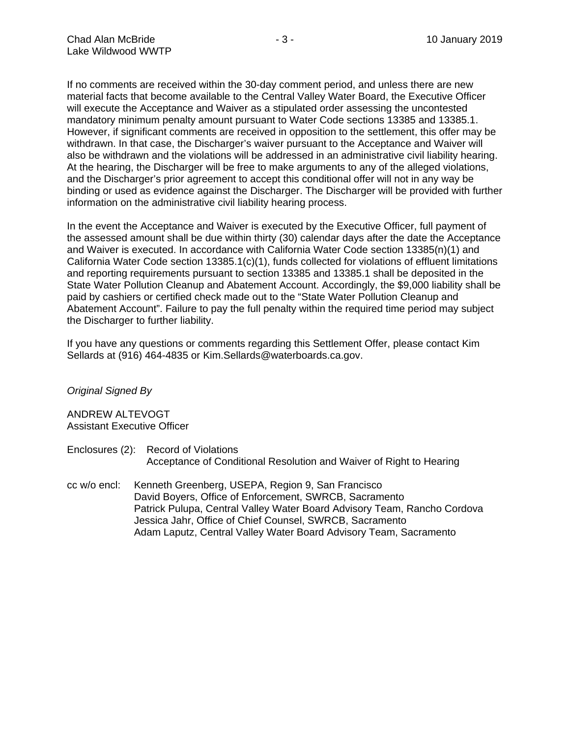If no comments are received within the 30-day comment period, and unless there are new material facts that become available to the Central Valley Water Board, the Executive Officer will execute the Acceptance and Waiver as a stipulated order assessing the uncontested mandatory minimum penalty amount pursuant to Water Code sections 13385 and 13385.1. However, if significant comments are received in opposition to the settlement, this offer may be withdrawn. In that case, the Discharger's waiver pursuant to the Acceptance and Waiver will also be withdrawn and the violations will be addressed in an administrative civil liability hearing. At the hearing, the Discharger will be free to make arguments to any of the alleged violations, and the Discharger's prior agreement to accept this conditional offer will not in any way be binding or used as evidence against the Discharger. The Discharger will be provided with further information on the administrative civil liability hearing process.

In the event the Acceptance and Waiver is executed by the Executive Officer, full payment of the assessed amount shall be due within thirty (30) calendar days after the date the Acceptance and Waiver is executed. In accordance with California Water Code section 13385(n)(1) and California Water Code section 13385.1(c)(1), funds collected for violations of effluent limitations and reporting requirements pursuant to section 13385 and 13385.1 shall be deposited in the State Water Pollution Cleanup and Abatement Account. Accordingly, the \$9,000 liability shall be paid by cashiers or certified check made out to the "State Water Pollution Cleanup and Abatement Account". Failure to pay the full penalty within the required time period may subject the Discharger to further liability.

If you have any questions or comments regarding this Settlement Offer, please contact Kim Sellards at (916) 464-4835 or Kim.Sellards@waterboards.ca.gov.

### *Original Signed By*

ANDREW ALTEVOGT Assistant Executive Officer

- Enclosures (2): Record of Violations Acceptance of Conditional Resolution and Waiver of Right to Hearing
- cc w/o encl: Kenneth Greenberg, USEPA, Region 9, San Francisco David Boyers, Office of Enforcement, SWRCB, Sacramento Patrick Pulupa, Central Valley Water Board Advisory Team, Rancho Cordova Jessica Jahr, Office of Chief Counsel, SWRCB, Sacramento Adam Laputz, Central Valley Water Board Advisory Team, Sacramento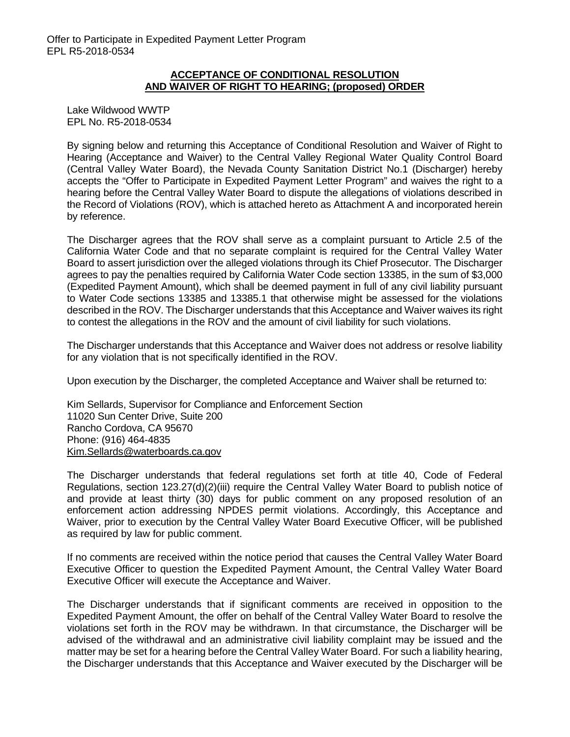### **ACCEPTANCE OF CONDITIONAL RESOLUTION AND WAIVER OF RIGHT TO HEARING; (proposed) ORDER**

Lake Wildwood WWTP EPL No. R5-2018-0534

By signing below and returning this Acceptance of Conditional Resolution and Waiver of Right to Hearing (Acceptance and Waiver) to the Central Valley Regional Water Quality Control Board (Central Valley Water Board), the Nevada County Sanitation District No.1 (Discharger) hereby accepts the "Offer to Participate in Expedited Payment Letter Program" and waives the right to a hearing before the Central Valley Water Board to dispute the allegations of violations described in the Record of Violations (ROV), which is attached hereto as Attachment A and incorporated herein by reference.

The Discharger agrees that the ROV shall serve as a complaint pursuant to Article 2.5 of the California Water Code and that no separate complaint is required for the Central Valley Water Board to assert jurisdiction over the alleged violations through its Chief Prosecutor. The Discharger agrees to pay the penalties required by California Water Code section 13385, in the sum of \$3,000 (Expedited Payment Amount), which shall be deemed payment in full of any civil liability pursuant to Water Code sections 13385 and 13385.1 that otherwise might be assessed for the violations described in the ROV. The Discharger understands that this Acceptance and Waiver waives its right to contest the allegations in the ROV and the amount of civil liability for such violations.

The Discharger understands that this Acceptance and Waiver does not address or resolve liability for any violation that is not specifically identified in the ROV.

Upon execution by the Discharger, the completed Acceptance and Waiver shall be returned to:

Kim Sellards, Supervisor for Compliance and Enforcement Section 11020 Sun Center Drive, Suite 200 Rancho Cordova, CA 95670 Phone: (916) 464-4835 [Kim.Sellards@waterboards.ca.gov](mailto:Kim.Sellards@waterboards.ca.gov)

The Discharger understands that federal regulations set forth at title 40, Code of Federal Regulations, section 123.27(d)(2)(iii) require the Central Valley Water Board to publish notice of and provide at least thirty (30) days for public comment on any proposed resolution of an enforcement action addressing NPDES permit violations. Accordingly, this Acceptance and Waiver, prior to execution by the Central Valley Water Board Executive Officer, will be published as required by law for public comment.

If no comments are received within the notice period that causes the Central Valley Water Board Executive Officer to question the Expedited Payment Amount, the Central Valley Water Board Executive Officer will execute the Acceptance and Waiver.

The Discharger understands that if significant comments are received in opposition to the Expedited Payment Amount, the offer on behalf of the Central Valley Water Board to resolve the violations set forth in the ROV may be withdrawn. In that circumstance, the Discharger will be advised of the withdrawal and an administrative civil liability complaint may be issued and the matter may be set for a hearing before the Central Valley Water Board. For such a liability hearing, the Discharger understands that this Acceptance and Waiver executed by the Discharger will be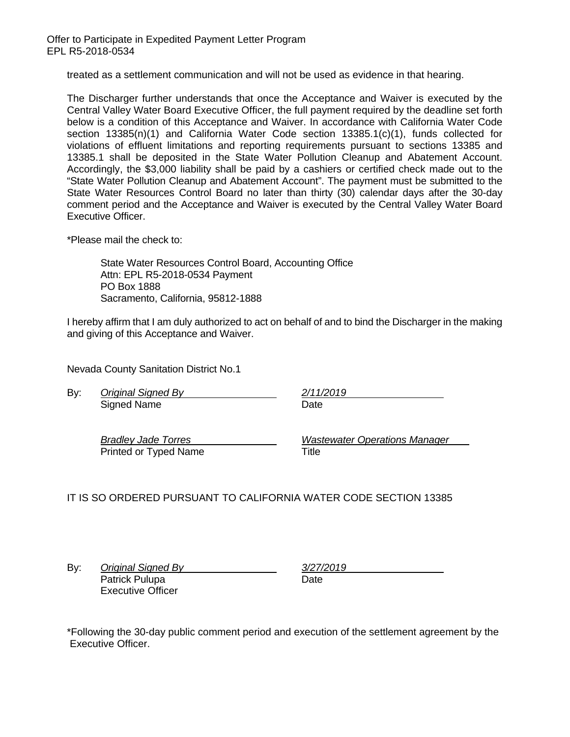Offer to Participate in Expedited Payment Letter Program EPL R5-2018-0534

treated as a settlement communication and will not be used as evidence in that hearing.

The Discharger further understands that once the Acceptance and Waiver is executed by the Central Valley Water Board Executive Officer, the full payment required by the deadline set forth below is a condition of this Acceptance and Waiver. In accordance with California Water Code section 13385(n)(1) and California Water Code section 13385.1(c)(1), funds collected for violations of effluent limitations and reporting requirements pursuant to sections 13385 and 13385.1 shall be deposited in the State Water Pollution Cleanup and Abatement Account. Accordingly, the \$3,000 liability shall be paid by a cashiers or certified check made out to the "State Water Pollution Cleanup and Abatement Account". The payment must be submitted to the State Water Resources Control Board no later than thirty (30) calendar days after the 30-day comment period and the Acceptance and Waiver is executed by the Central Valley Water Board Executive Officer.

\*Please mail the check to:

State Water Resources Control Board, Accounting Office Attn: EPL R5-2018-0534 Payment PO Box 1888 Sacramento, California, 95812-1888

I hereby affirm that I am duly authorized to act on behalf of and to bind the Discharger in the making and giving of this Acceptance and Waiver.

Nevada County Sanitation District No.1

By: *Original Signed By 2/11/2019* Signed Name Date

Printed or Typed Name Title

*Bradley Jade Torres Wastewater Operations Manager*

IT IS SO ORDERED PURSUANT TO CALIFORNIA WATER CODE SECTION 13385

By: *Original Signed By 3/27/2019* Patrick Pulupa Date Executive Officer

\*Following the 30-day public comment period and execution of the settlement agreement by the Executive Officer.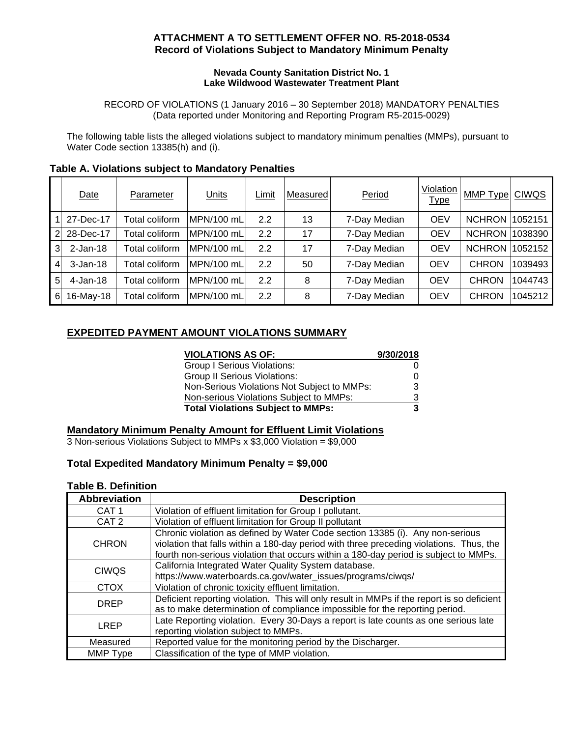## **ATTACHMENT A TO SETTLEMENT OFFER NO. R5-2018-0534 Record of Violations Subject to Mandatory Minimum Penalty**

#### **Nevada County Sanitation District No. 1 Lake Wildwood Wastewater Treatment Plant**

RECORD OF VIOLATIONS (1 January 2016 – 30 September 2018) MANDATORY PENALTIES (Data reported under Monitoring and Reporting Program R5-2015-0029)

The following table lists the alleged violations subject to mandatory minimum penalties (MMPs), pursuant to Water Code section 13385(h) and (i).

|                | Date         | Parameter       | <b>Units</b> | Limit | Measured | Period       | Violation<br><u>Type</u> | MMP Type              | <b>CIWQS</b> |
|----------------|--------------|-----------------|--------------|-------|----------|--------------|--------------------------|-----------------------|--------------|
|                | 27-Dec-17    | Total coliform  | MPN/100 mL   | 2.2   | 13       | 7-Day Median | <b>OEV</b>               | <b>NCHRON 1052151</b> |              |
| $\overline{2}$ | 28-Dec-17    | Total coliform. | MPN/100 mL   | 2.2   | 17       | 7-Day Median | <b>OEV</b>               | <b>NCHRON</b>         | 1038390      |
| 3              | $2-Jan-18$   | Total coliform  | MPN/100 mL   | 2.2   | 17       | 7-Day Median | <b>OEV</b>               | <b>NCHRON</b>         | 1052152      |
| 4              | $3 - Jan-18$ | Total coliform  | MPN/100 mL   | 2.2   | 50       | 7-Day Median | <b>OEV</b>               | <b>CHRON</b>          | 1039493      |
| 51             | $4$ -Jan-18  | Total coliform  | MPN/100 mL   | 2.2   | 8        | 7-Day Median | <b>OEV</b>               | <b>CHRON</b>          | 1044743      |
| 6              | 16-May-18    | Total coliform  | MPN/100 mL   | 2.2   | 8        | 7-Day Median | <b>OEV</b>               | <b>CHRON</b>          | 1045212      |

## **Table A. Violations subject to Mandatory Penalties**

# **EXPEDITED PAYMENT AMOUNT VIOLATIONS SUMMARY**

| <b>VIOLATIONS AS OF:</b>                    | 9/30/2018 |
|---------------------------------------------|-----------|
| Group I Serious Violations:                 |           |
| <b>Group II Serious Violations:</b>         |           |
| Non-Serious Violations Not Subject to MMPs: |           |
| Non-serious Violations Subject to MMPs:     | 3         |
| <b>Total Violations Subject to MMPs:</b>    |           |

## **Mandatory Minimum Penalty Amount for Effluent Limit Violations**

3 Non-serious Violations Subject to MMPs x \$3,000 Violation = \$9,000

### **Total Expedited Mandatory Minimum Penalty = \$9,000**

### **Table B. Definition**

| <b>Abbreviation</b> | <b>Description</b>                                                                         |
|---------------------|--------------------------------------------------------------------------------------------|
| CAT <sub>1</sub>    | Violation of effluent limitation for Group I pollutant.                                    |
| CAT <sub>2</sub>    | Violation of effluent limitation for Group II pollutant                                    |
|                     | Chronic violation as defined by Water Code section 13385 (i). Any non-serious              |
| <b>CHRON</b>        | violation that falls within a 180-day period with three preceding violations. Thus, the    |
|                     | fourth non-serious violation that occurs within a 180-day period is subject to MMPs.       |
| <b>CIWQS</b>        | California Integrated Water Quality System database.                                       |
|                     | https://www.waterboards.ca.gov/water_issues/programs/ciwqs/                                |
| <b>CTOX</b>         | Violation of chronic toxicity effluent limitation.                                         |
| <b>DREP</b>         | Deficient reporting violation. This will only result in MMPs if the report is so deficient |
|                     | as to make determination of compliance impossible for the reporting period.                |
| <b>LREP</b>         | Late Reporting violation. Every 30-Days a report is late counts as one serious late        |
|                     | reporting violation subject to MMPs.                                                       |
| Measured            | Reported value for the monitoring period by the Discharger.                                |
| MMP Type            | Classification of the type of MMP violation.                                               |